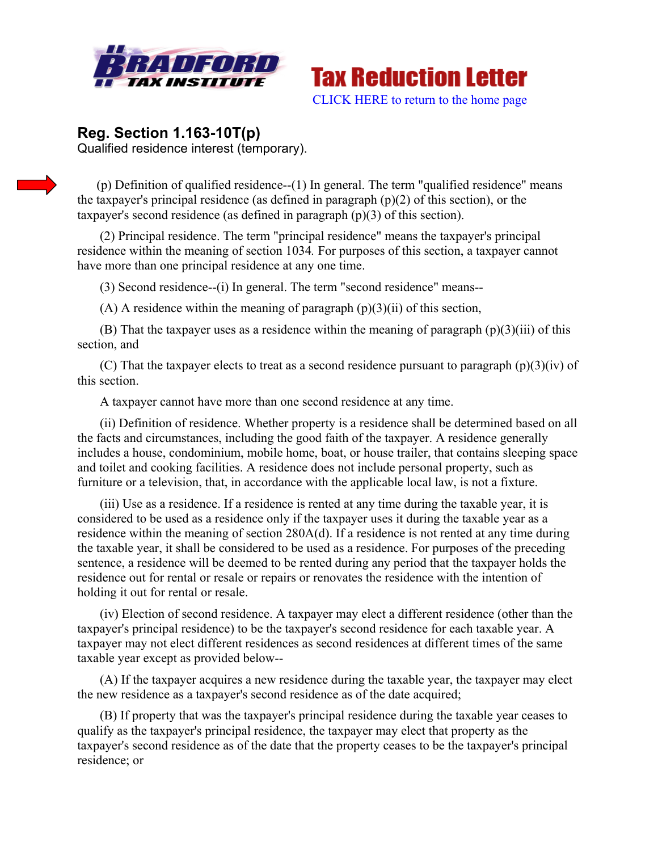



## **Reg. Section 1.163-10T(p)** Qualified residence interest (temporary).

(p) Definition of qualified residence--(1) In general. The term "qualified residence" means the taxpayer's principal residence (as defined in paragraph (p)(2) of this section), or the taxpayer's second residence (as defined in paragraph (p)(3) of this section).

 (2) Principal residence. The term "principal residence" means the taxpayer's principal residence within the meaning of section 1034*.* For purposes of this section, a taxpayer cannot have more than one principal residence at any one time.

(3) Second residence--(i) In general. The term "second residence" means--

(A) A residence within the meaning of paragraph  $(p)(3)(ii)$  of this section,

(B) That the taxpayer uses as a residence within the meaning of paragraph  $(p)(3)(iii)$  of this section, and

(C) That the taxpayer elects to treat as a second residence pursuant to paragraph  $(p)(3)(iv)$  of this section.

A taxpayer cannot have more than one second residence at any time.

 (ii) Definition of residence. Whether property is a residence shall be determined based on all the facts and circumstances, including the good faith of the taxpayer. A residence generally includes a house, condominium, mobile home, boat, or house trailer, that contains sleeping space and toilet and cooking facilities. A residence does not include personal property, such as furniture or a television, that, in accordance with the applicable local law, is not a fixture.

 (iii) Use as a residence. If a residence is rented at any time during the taxable year, it is considered to be used as a residence only if the taxpayer uses it during the taxable year as a residence within the meaning of section 280A(d). If a residence is not rented at any time during the taxable year, it shall be considered to be used as a residence. For purposes of the preceding sentence, a residence will be deemed to be rented during any period that the taxpayer holds the residence out for rental or resale or repairs or renovates the residence with the intention of holding it out for rental or resale.

 (iv) Election of second residence. A taxpayer may elect a different residence (other than the taxpayer's principal residence) to be the taxpayer's second residence for each taxable year. A taxpayer may not elect different residences as second residences at different times of the same taxable year except as provided below--

 (A) If the taxpayer acquires a new residence during the taxable year, the taxpayer may elect the new residence as a taxpayer's second residence as of the date acquired;

 (B) If property that was the taxpayer's principal residence during the taxable year ceases to qualify as the taxpayer's principal residence, the taxpayer may elect that property as the taxpayer's second residence as of the date that the property ceases to be the taxpayer's principal residence; or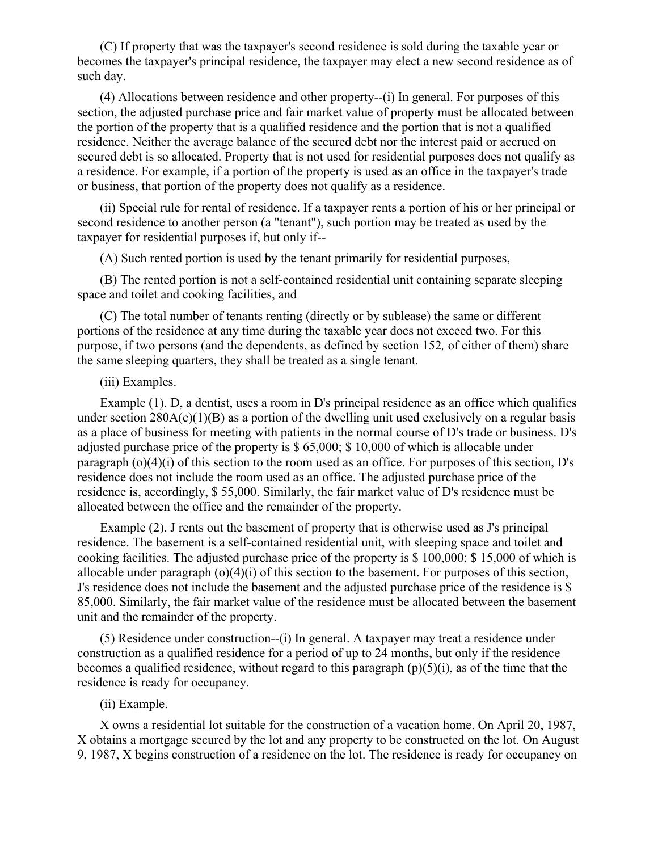(C) If property that was the taxpayer's second residence is sold during the taxable year or becomes the taxpayer's principal residence, the taxpayer may elect a new second residence as of such day.

 (4) Allocations between residence and other property--(i) In general. For purposes of this section, the adjusted purchase price and fair market value of property must be allocated between the portion of the property that is a qualified residence and the portion that is not a qualified residence. Neither the average balance of the secured debt nor the interest paid or accrued on secured debt is so allocated. Property that is not used for residential purposes does not qualify as a residence. For example, if a portion of the property is used as an office in the taxpayer's trade or business, that portion of the property does not qualify as a residence.

 (ii) Special rule for rental of residence. If a taxpayer rents a portion of his or her principal or second residence to another person (a "tenant"), such portion may be treated as used by the taxpayer for residential purposes if, but only if--

(A) Such rented portion is used by the tenant primarily for residential purposes,

 (B) The rented portion is not a self-contained residential unit containing separate sleeping space and toilet and cooking facilities, and

 (C) The total number of tenants renting (directly or by sublease) the same or different portions of the residence at any time during the taxable year does not exceed two. For this purpose, if two persons (and the dependents, as defined by section 152*,* of either of them) share the same sleeping quarters, they shall be treated as a single tenant.

## (iii) Examples.

 Example (1). D, a dentist, uses a room in D's principal residence as an office which qualifies under section  $280A(c)(1)(B)$  as a portion of the dwelling unit used exclusively on a regular basis as a place of business for meeting with patients in the normal course of D's trade or business. D's adjusted purchase price of the property is \$ 65,000; \$ 10,000 of which is allocable under paragraph  $(o)(4)(i)$  of this section to the room used as an office. For purposes of this section, D's residence does not include the room used as an office. The adjusted purchase price of the residence is, accordingly, \$ 55,000. Similarly, the fair market value of D's residence must be allocated between the office and the remainder of the property.

 Example (2). J rents out the basement of property that is otherwise used as J's principal residence. The basement is a self-contained residential unit, with sleeping space and toilet and cooking facilities. The adjusted purchase price of the property is \$ 100,000; \$ 15,000 of which is allocable under paragraph (o)(4)(i) of this section to the basement. For purposes of this section, J's residence does not include the basement and the adjusted purchase price of the residence is \$ 85,000. Similarly, the fair market value of the residence must be allocated between the basement unit and the remainder of the property.

 (5) Residence under construction--(i) In general. A taxpayer may treat a residence under construction as a qualified residence for a period of up to 24 months, but only if the residence becomes a qualified residence, without regard to this paragraph  $(p)(5)(i)$ , as of the time that the residence is ready for occupancy.

## (ii) Example.

 X owns a residential lot suitable for the construction of a vacation home. On April 20, 1987, X obtains a mortgage secured by the lot and any property to be constructed on the lot. On August 9, 1987, X begins construction of a residence on the lot. The residence is ready for occupancy on